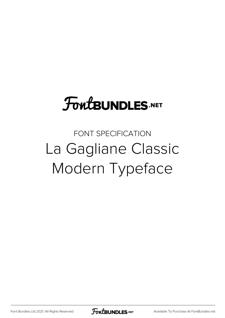### **FoutBUNDLES.NET**

FONT SPECIFICATION La Gagliane Classic Modern Typeface

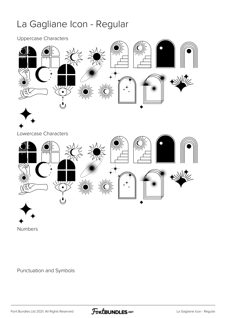### La Gagliane Icon - Regular

Uppercase Characters



Numbers

Punctuation and Symbols

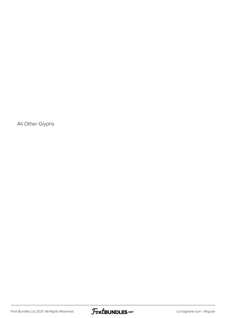All Other Glyphs



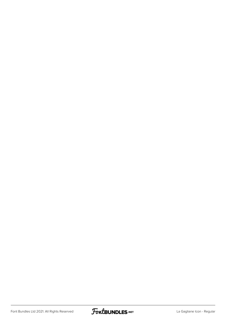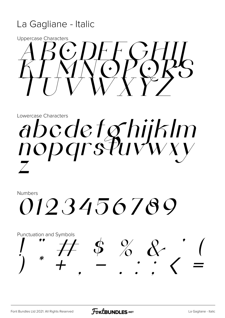



## Lowercase Characters abcdefghijklm<br>nopgrsfuvwxy

#### Numbers

0123456789

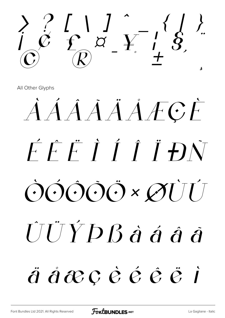$\sum_{i=1}^{n} \left( \begin{array}{c} 1 & 1 \\ 0 & \overline{1} \end{array} \right) \begin{array}{c} 1 & 1 \\ 1 & \overline{1} \end{array} \begin{array}{c} 1 & 1 \\ 1 & \overline{1} \end{array}$ 

All Other Glyphs

AAAAAAECE FFFIIIPN  $\dot{\mathcal{O}}\dot{\mathcal{O}}\dot{\mathcal{O}}\dot{\mathcal{O}}\dot{\mathcal{O}}\times\mathcal{O}\dot{\mathcal{U}}\dot{\mathcal{U}}$ ÚÜÝ pß à á â ā ä åæç è é é ë i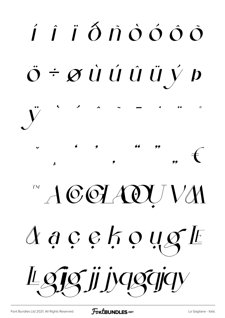í i jónòóo  $\ddot{\mathcal{O}}$   $\dot{\mathcal{O}}$   $\dot{\mathcal{O}}$   $\dot{\mathcal{O}}$   $\dot{\mathcal{O}}$   $\dot{\mathcal{O}}$   $\ddot{\mathcal{O}}$   $\ddot{\mathcal{O}}$   $\ddot{\mathcal{O}}$ M A C C H AQUIVA  $T\!M$ Aaçekoug  $\mathcal{L}$ Legier ji jygggigy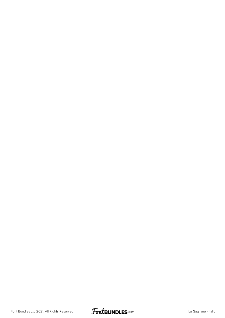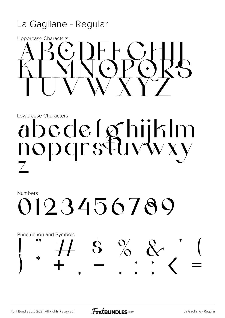

# abcdefghijklm

### **Numbers**

0123456789

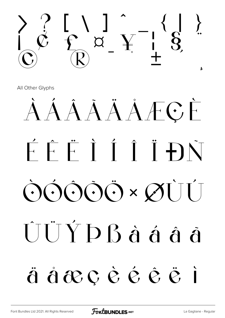

All Other Glyphs

## ÀÁÂÃÄÅÆGÈ FFFIIIFN ÛÜÝÞß à á â â äåæçèéê i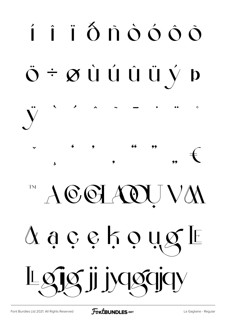## IIÏŎŇÒŎŎ ÷ øù ú û ü ý  $\mathbf b$  $\overline{\mathbf{A}}$ A C G L AQUIVA **TM** AaçehougE **Aja ji jyqaqje**  $\frac{1}{\sqrt{1-\frac{1}{2}}}$

**FoutBUNDLES**.NET